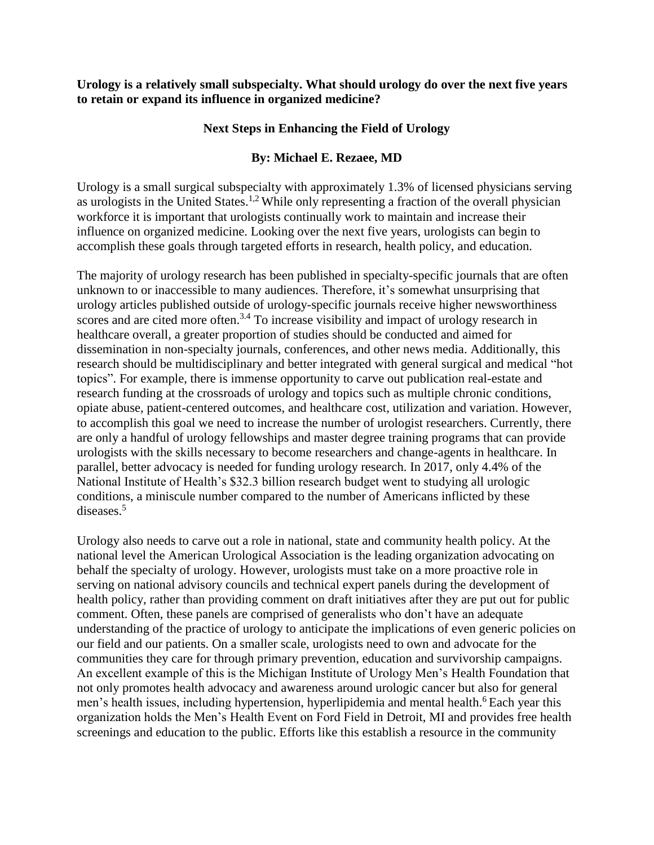**Urology is a relatively small subspecialty. What should urology do over the next five years to retain or expand its influence in organized medicine?**

## **Next Steps in Enhancing the Field of Urology**

## **By: Michael E. Rezaee, MD**

Urology is a small surgical subspecialty with approximately 1.3% of licensed physicians serving as urologists in the United States.<sup>1,2</sup> While only representing a fraction of the overall physician workforce it is important that urologists continually work to maintain and increase their influence on organized medicine. Looking over the next five years, urologists can begin to accomplish these goals through targeted efforts in research, health policy, and education.

The majority of urology research has been published in specialty-specific journals that are often unknown to or inaccessible to many audiences. Therefore, it's somewhat unsurprising that urology articles published outside of urology-specific journals receive higher newsworthiness scores and are cited more often.<sup>3.4</sup> To increase visibility and impact of urology research in healthcare overall, a greater proportion of studies should be conducted and aimed for dissemination in non-specialty journals, conferences, and other news media. Additionally, this research should be multidisciplinary and better integrated with general surgical and medical "hot topics". For example, there is immense opportunity to carve out publication real-estate and research funding at the crossroads of urology and topics such as multiple chronic conditions, opiate abuse, patient-centered outcomes, and healthcare cost, utilization and variation. However, to accomplish this goal we need to increase the number of urologist researchers. Currently, there are only a handful of urology fellowships and master degree training programs that can provide urologists with the skills necessary to become researchers and change-agents in healthcare. In parallel, better advocacy is needed for funding urology research. In 2017, only 4.4% of the National Institute of Health's \$32.3 billion research budget went to studying all urologic conditions, a miniscule number compared to the number of Americans inflicted by these diseases.<sup>5</sup>

Urology also needs to carve out a role in national, state and community health policy. At the national level the American Urological Association is the leading organization advocating on behalf the specialty of urology. However, urologists must take on a more proactive role in serving on national advisory councils and technical expert panels during the development of health policy, rather than providing comment on draft initiatives after they are put out for public comment. Often, these panels are comprised of generalists who don't have an adequate understanding of the practice of urology to anticipate the implications of even generic policies on our field and our patients. On a smaller scale, urologists need to own and advocate for the communities they care for through primary prevention, education and survivorship campaigns. An excellent example of this is the Michigan Institute of Urology Men's Health Foundation that not only promotes health advocacy and awareness around urologic cancer but also for general men's health issues, including hypertension, hyperlipidemia and mental health. <sup>6</sup> Each year this organization holds the Men's Health Event on Ford Field in Detroit, MI and provides free health screenings and education to the public. Efforts like this establish a resource in the community